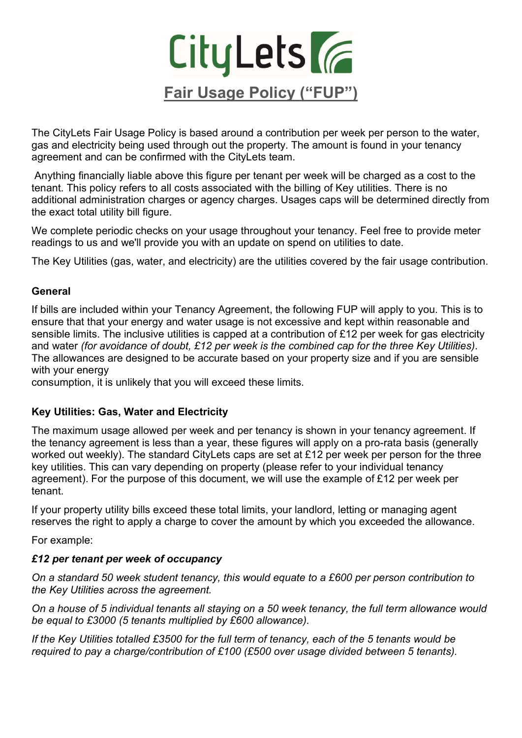

The CityLets Fair Usage Policy is based around a contribution per week per person to the water, gas and electricity being used through out the property. The amount is found in your tenancy agreement and can be confirmed with the CityLets team.

 Anything financially liable above this figure per tenant per week will be charged as a cost to the tenant. This policy refers to all costs associated with the billing of Key utilities. There is no additional administration charges or agency charges. Usages caps will be determined directly from the exact total utility bill figure.

We complete periodic checks on your usage throughout your tenancy. Feel free to provide meter readings to us and we'll provide you with an update on spend on utilities to date.

The Key Utilities (gas, water, and electricity) are the utilities covered by the fair usage contribution.

# General

If bills are included within your Tenancy Agreement, the following FUP will apply to you. This is to ensure that that your energy and water usage is not excessive and kept within reasonable and sensible limits. The inclusive utilities is capped at a contribution of £12 per week for gas electricity and water (for avoidance of doubt, £12 per week is the combined cap for the three Key Utilities). The allowances are designed to be accurate based on your property size and if you are sensible with your energy

consumption, it is unlikely that you will exceed these limits.

# Key Utilities: Gas, Water and Electricity

The maximum usage allowed per week and per tenancy is shown in your tenancy agreement. If the tenancy agreement is less than a year, these figures will apply on a pro-rata basis (generally worked out weekly). The standard CityLets caps are set at £12 per week per person for the three key utilities. This can vary depending on property (please refer to your individual tenancy agreement). For the purpose of this document, we will use the example of £12 per week per tenant.

If your property utility bills exceed these total limits, your landlord, letting or managing agent reserves the right to apply a charge to cover the amount by which you exceeded the allowance.

For example:

# £12 per tenant per week of occupancy

On a standard 50 week student tenancy, this would equate to a £600 per person contribution to the Key Utilities across the agreement.

On a house of 5 individual tenants all staying on a 50 week tenancy, the full term allowance would be equal to £3000 (5 tenants multiplied by £600 allowance).

If the Key Utilities totalled £3500 for the full term of tenancy, each of the 5 tenants would be required to pay a charge/contribution of £100 (£500 over usage divided between 5 tenants).